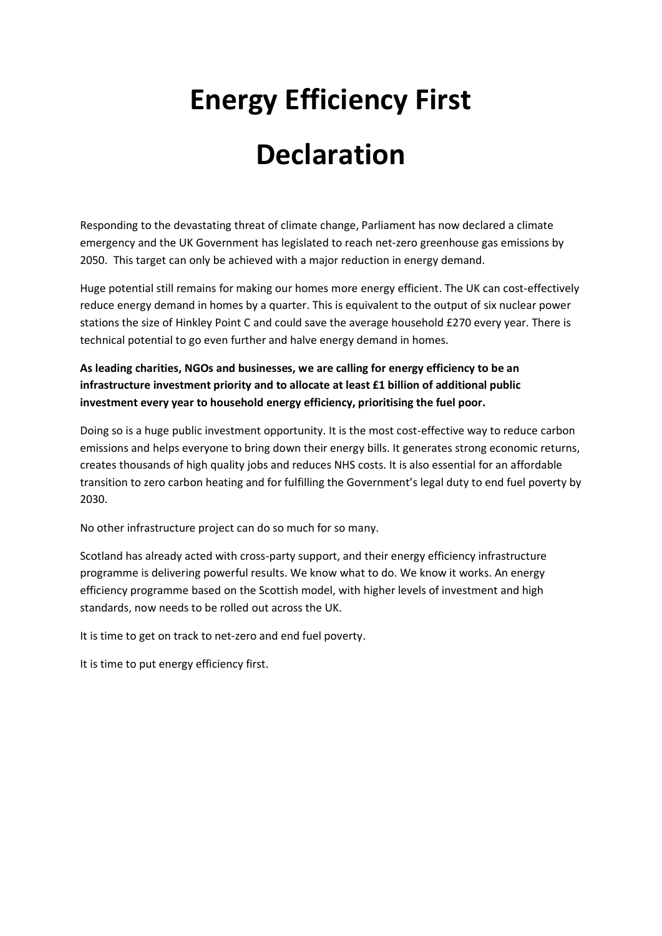## **Energy Efficiency First Declaration**

Responding to the devastating threat of climate change, Parliament has now declared a climate emergency and the UK Government has legislated to reach net-zero greenhouse gas emissions by 2050. This target can only be achieved with a major reduction in energy demand.

Huge potential still remains for making our homes more energy efficient. The UK can cost-effectively reduce energy demand in homes by a quarter. This is equivalent to the output of six nuclear power stations the size of Hinkley Point C and could save the average household £270 every year. There is technical potential to go even further and halve energy demand in homes.

**As leading charities, NGOs and businesses, we are calling for energy efficiency to be an infrastructure investment priority and to allocate at least £1 billion of additional public investment every year to household energy efficiency, prioritising the fuel poor.**

Doing so is a huge public investment opportunity. It is the most cost-effective way to reduce carbon emissions and helps everyone to bring down their energy bills. It generates strong economic returns, creates thousands of high quality jobs and reduces NHS costs. It is also essential for an affordable transition to zero carbon heating and for fulfilling the Government's legal duty to end fuel poverty by 2030.

No other infrastructure project can do so much for so many.

Scotland has already acted with cross-party support, and their energy efficiency infrastructure programme is delivering powerful results. We know what to do. We know it works. An energy efficiency programme based on the Scottish model, with higher levels of investment and high standards, now needs to be rolled out across the UK.

It is time to get on track to net-zero and end fuel poverty.

It is time to put energy efficiency first.